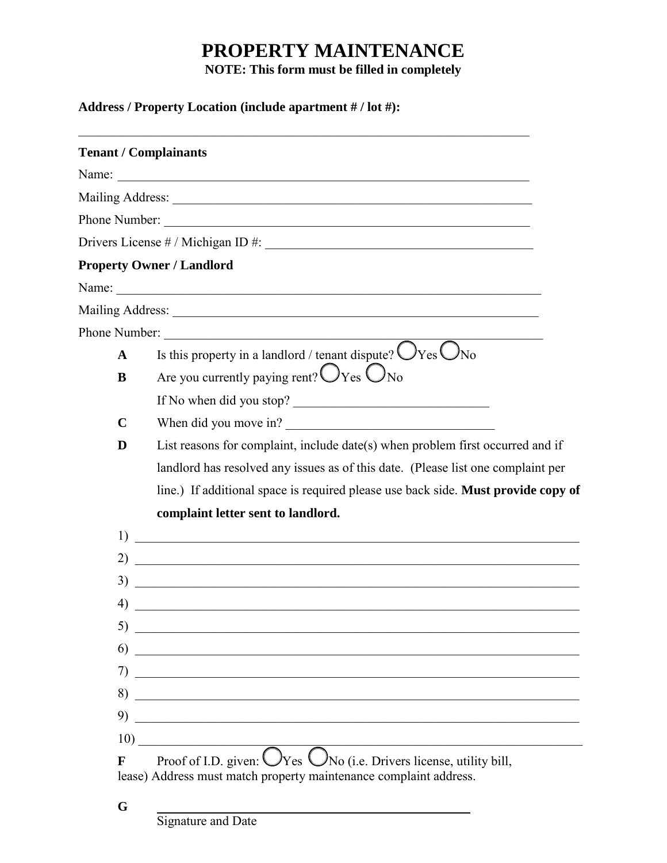## **PROPERTY MAINTENANCE**

**NOTE: This form must be filled in completely**

## **Address / Property Location (include apartment # / lot #):**

|             | <b>Tenant / Complainants</b>                                                                                                                                                                                                         |
|-------------|--------------------------------------------------------------------------------------------------------------------------------------------------------------------------------------------------------------------------------------|
|             | Name:                                                                                                                                                                                                                                |
|             | Mailing Address: 1988 and 2008 and 2008 and 2008 and 2008 and 2008 and 2008 and 2008 and 2008 and 2008 and 200                                                                                                                       |
|             | Phone Number:                                                                                                                                                                                                                        |
|             |                                                                                                                                                                                                                                      |
|             | <b>Property Owner / Landlord</b>                                                                                                                                                                                                     |
|             |                                                                                                                                                                                                                                      |
|             |                                                                                                                                                                                                                                      |
|             | Phone Number:                                                                                                                                                                                                                        |
| $\mathbf A$ | Is this property in a landlord / tenant dispute? $\bigcirc$ Yes $\bigcirc$ No                                                                                                                                                        |
| B           | Are you currently paying rent? $\bigcirc$ Yes $\bigcirc$ No                                                                                                                                                                          |
|             | If No when did you stop?                                                                                                                                                                                                             |
| $\mathbf C$ | When did you move in?                                                                                                                                                                                                                |
| D           | List reasons for complaint, include date(s) when problem first occurred and if                                                                                                                                                       |
|             | landlord has resolved any issues as of this date. (Please list one complaint per                                                                                                                                                     |
|             | line.) If additional space is required please use back side. Must provide copy of                                                                                                                                                    |
|             | complaint letter sent to landlord.                                                                                                                                                                                                   |
| 1)          | <u> 1989 - Johann Harry Harry Harry Harry Harry Harry Harry Harry Harry Harry Harry Harry Harry Harry Harry Harry</u>                                                                                                                |
| 2)          | <u> 1989 - Johann Stoff, deutscher Stoffen und der Stoffen und der Stoffen und der Stoffen und der Stoffen und der Stoffen und der Stoffen und der Stoffen und der Stoffen und der Stoffen und der Stoffen und der Stoffen und d</u> |
| 3)          | <u> 1989 - Johann Stoff, amerikansk politiker (d. 1989)</u>                                                                                                                                                                          |
| 4)          |                                                                                                                                                                                                                                      |
| 5)          | <u> 1989 - Johann John Stone, mars et al. 1989 - John Stone, mars et al. 1989 - John Stone, mars et al. 1989 - John Stone</u>                                                                                                        |
| 6)          |                                                                                                                                                                                                                                      |
| 7)          | <u> 1989 - Johann Barbara, margaret eta idazlea (h. 1989).</u>                                                                                                                                                                       |
| 8)          |                                                                                                                                                                                                                                      |
| 9)          |                                                                                                                                                                                                                                      |
| 10)         |                                                                                                                                                                                                                                      |